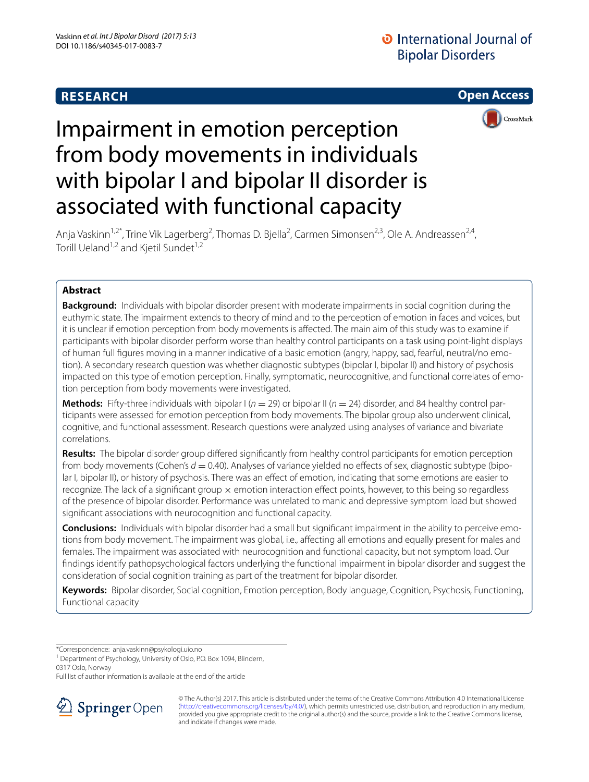# **RESEARCH**

**Open Access**



# Impairment in emotion perception from body movements in individuals with bipolar I and bipolar II disorder is associated with functional capacity

Anja Vaskinn<sup>1,2\*</sup>, Trine Vik Lagerberg<sup>2</sup>, Thomas D. Bjella<sup>2</sup>, Carmen Simonsen<sup>2,3</sup>, Ole A. Andreassen<sup>2,4</sup>, Torill Ueland<sup>1,2</sup> and Kietil Sundet<sup>1,2</sup>

# **Abstract**

**Background:** Individuals with bipolar disorder present with moderate impairments in social cognition during the euthymic state. The impairment extends to theory of mind and to the perception of emotion in faces and voices, but it is unclear if emotion perception from body movements is afected. The main aim of this study was to examine if participants with bipolar disorder perform worse than healthy control participants on a task using point-light displays of human full fgures moving in a manner indicative of a basic emotion (angry, happy, sad, fearful, neutral/no emotion). A secondary research question was whether diagnostic subtypes (bipolar I, bipolar II) and history of psychosis impacted on this type of emotion perception. Finally, symptomatic, neurocognitive, and functional correlates of emotion perception from body movements were investigated.

**Methods:** Fifty-three individuals with bipolar I ( $n = 29$ ) or bipolar II ( $n = 24$ ) disorder, and 84 healthy control participants were assessed for emotion perception from body movements. The bipolar group also underwent clinical, cognitive, and functional assessment. Research questions were analyzed using analyses of variance and bivariate correlations.

**Results:** The bipolar disorder group difered signifcantly from healthy control participants for emotion perception from body movements (Cohen's  $d = 0.40$ ). Analyses of variance yielded no effects of sex, diagnostic subtype (bipolar I, bipolar II), or history of psychosis. There was an efect of emotion, indicating that some emotions are easier to recognize. The lack of a significant group  $\times$  emotion interaction effect points, however, to this being so regardless of the presence of bipolar disorder. Performance was unrelated to manic and depressive symptom load but showed signifcant associations with neurocognition and functional capacity.

**Conclusions:** Individuals with bipolar disorder had a small but signifcant impairment in the ability to perceive emotions from body movement. The impairment was global, i.e., afecting all emotions and equally present for males and females. The impairment was associated with neurocognition and functional capacity, but not symptom load. Our fndings identify pathopsychological factors underlying the functional impairment in bipolar disorder and suggest the consideration of social cognition training as part of the treatment for bipolar disorder.

**Keywords:** Bipolar disorder, Social cognition, Emotion perception, Body language, Cognition, Psychosis, Functioning, Functional capacity

\*Correspondence: anja.vaskinn@psykologi.uio.no

Full list of author information is available at the end of the article



<sup>©</sup> The Author(s) 2017. This article is distributed under the terms of the Creative Commons Attribution 4.0 International License [\(http://creativecommons.org/licenses/by/4.0/\)](http://creativecommons.org/licenses/by/4.0/), which permits unrestricted use, distribution, and reproduction in any medium, provided you give appropriate credit to the original author(s) and the source, provide a link to the Creative Commons license, and indicate if changes were made.

<sup>&</sup>lt;sup>1</sup> Department of Psychology, University of Oslo, P.O. Box 1094, Blindern, 0317 Oslo, Norway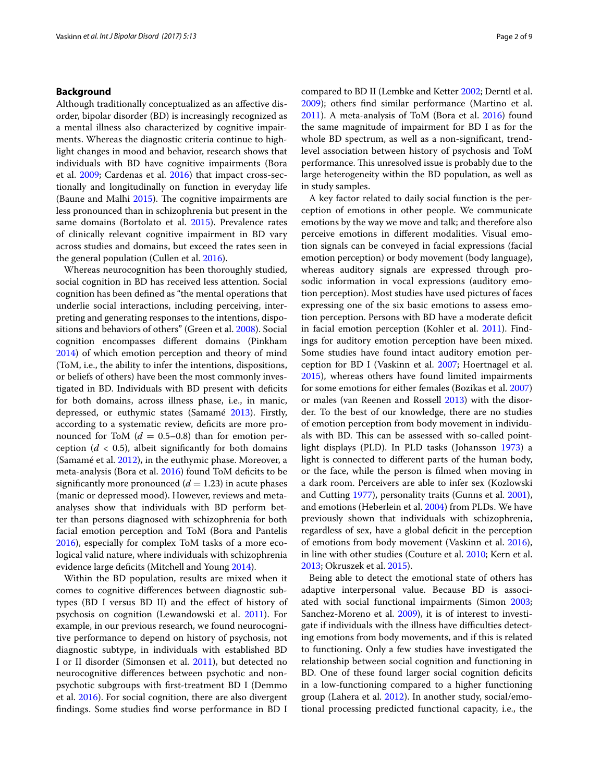# **Background**

Although traditionally conceptualized as an afective disorder, bipolar disorder (BD) is increasingly recognized as a mental illness also characterized by cognitive impairments. Whereas the diagnostic criteria continue to highlight changes in mood and behavior, research shows that individuals with BD have cognitive impairments (Bora et al. [2009](#page-7-0); Cardenas et al. [2016](#page-7-1)) that impact cross-sectionally and longitudinally on function in everyday life (Baune and Malhi  $2015$ ). The cognitive impairments are less pronounced than in schizophrenia but present in the same domains (Bortolato et al. [2015\)](#page-7-3). Prevalence rates of clinically relevant cognitive impairment in BD vary across studies and domains, but exceed the rates seen in the general population (Cullen et al. [2016\)](#page-7-4).

Whereas neurocognition has been thoroughly studied, social cognition in BD has received less attention. Social cognition has been defned as "the mental operations that underlie social interactions, including perceiving, interpreting and generating responses to the intentions, dispositions and behaviors of others" (Green et al. [2008](#page-7-5)). Social cognition encompasses diferent domains (Pinkham [2014](#page-8-0)) of which emotion perception and theory of mind (ToM, i.e., the ability to infer the intentions, dispositions, or beliefs of others) have been the most commonly investigated in BD. Individuals with BD present with deficits for both domains, across illness phase, i.e., in manic, depressed, or euthymic states (Samamé [2013\)](#page-8-1). Firstly, according to a systematic review, deficits are more pronounced for ToM  $(d = 0.5-0.8)$  than for emotion perception  $(d < 0.5)$ , albeit significantly for both domains (Samamé et al. [2012\)](#page-8-2), in the euthymic phase. Moreover, a meta-analysis (Bora et al. [2016\)](#page-7-6) found ToM defcits to be significantly more pronounced  $(d = 1.23)$  in acute phases (manic or depressed mood). However, reviews and metaanalyses show that individuals with BD perform better than persons diagnosed with schizophrenia for both facial emotion perception and ToM (Bora and Pantelis [2016](#page-7-7)), especially for complex ToM tasks of a more ecological valid nature, where individuals with schizophrenia evidence large deficits (Mitchell and Young [2014\)](#page-8-3).

Within the BD population, results are mixed when it comes to cognitive diferences between diagnostic subtypes (BD I versus BD II) and the efect of history of psychosis on cognition (Lewandowski et al. [2011](#page-7-8)). For example, in our previous research, we found neurocognitive performance to depend on history of psychosis, not diagnostic subtype, in individuals with established BD I or II disorder (Simonsen et al. [2011\)](#page-8-4), but detected no neurocognitive diferences between psychotic and nonpsychotic subgroups with frst-treatment BD I (Demmo et al. [2016\)](#page-7-9). For social cognition, there are also divergent fndings. Some studies fnd worse performance in BD I compared to BD II (Lembke and Ketter [2002;](#page-7-10) Derntl et al. [2009](#page-7-11)); others fnd similar performance (Martino et al. [2011](#page-8-5)). A meta-analysis of ToM (Bora et al. [2016\)](#page-7-6) found the same magnitude of impairment for BD I as for the whole BD spectrum, as well as a non-signifcant, trendlevel association between history of psychosis and ToM performance. This unresolved issue is probably due to the large heterogeneity within the BD population, as well as in study samples.

A key factor related to daily social function is the perception of emotions in other people. We communicate emotions by the way we move and talk; and therefore also perceive emotions in diferent modalities. Visual emotion signals can be conveyed in facial expressions (facial emotion perception) or body movement (body language), whereas auditory signals are expressed through prosodic information in vocal expressions (auditory emotion perception). Most studies have used pictures of faces expressing one of the six basic emotions to assess emotion perception. Persons with BD have a moderate defcit in facial emotion perception (Kohler et al. [2011](#page-7-12)). Findings for auditory emotion perception have been mixed. Some studies have found intact auditory emotion perception for BD I (Vaskinn et al. [2007](#page-8-6); Hoertnagel et al. [2015](#page-7-13)), whereas others have found limited impairments for some emotions for either females (Bozikas et al. [2007](#page-7-14)) or males (van Reenen and Rossell [2013\)](#page-8-7) with the disorder. To the best of our knowledge, there are no studies of emotion perception from body movement in individuals with BD. This can be assessed with so-called pointlight displays (PLD). In PLD tasks (Johansson [1973](#page-7-15)) a light is connected to diferent parts of the human body, or the face, while the person is flmed when moving in a dark room. Perceivers are able to infer sex (Kozlowski and Cutting [1977\)](#page-7-16), personality traits (Gunns et al. [2001](#page-7-17)), and emotions (Heberlein et al. [2004](#page-7-18)) from PLDs. We have previously shown that individuals with schizophrenia, regardless of sex, have a global defcit in the perception of emotions from body movement (Vaskinn et al. [2016](#page-8-8)), in line with other studies (Couture et al. [2010](#page-7-19); Kern et al. [2013](#page-7-20); Okruszek et al. [2015\)](#page-8-9).

Being able to detect the emotional state of others has adaptive interpersonal value. Because BD is associated with social functional impairments (Simon [2003](#page-8-10); Sanchez-Moreno et al. [2009](#page-8-11)), it is of interest to investigate if individuals with the illness have difficulties detecting emotions from body movements, and if this is related to functioning. Only a few studies have investigated the relationship between social cognition and functioning in BD. One of these found larger social cognition deficits in a low-functioning compared to a higher functioning group (Lahera et al. [2012\)](#page-7-21). In another study, social/emotional processing predicted functional capacity, i.e., the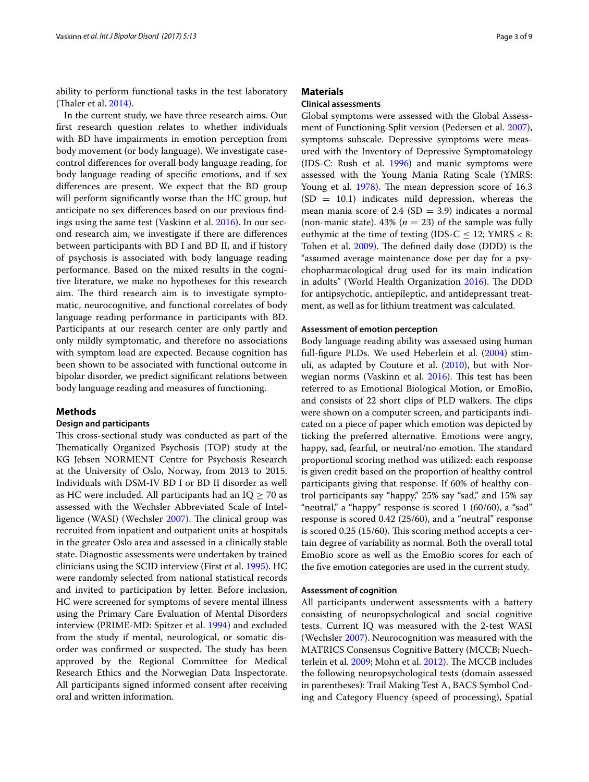ability to perform functional tasks in the test laboratory (Thaler et al.  $2014$ ).

In the current study, we have three research aims. Our frst research question relates to whether individuals with BD have impairments in emotion perception from body movement (or body language). We investigate casecontrol diferences for overall body language reading, for body language reading of specifc emotions, and if sex diferences are present. We expect that the BD group will perform signifcantly worse than the HC group, but anticipate no sex diferences based on our previous fndings using the same test (Vaskinn et al. [2016](#page-8-8)). In our second research aim, we investigate if there are diferences between participants with BD I and BD II, and if history of psychosis is associated with body language reading performance. Based on the mixed results in the cognitive literature, we make no hypotheses for this research aim. The third research aim is to investigate symptomatic, neurocognitive, and functional correlates of body language reading performance in participants with BD. Participants at our research center are only partly and only mildly symptomatic, and therefore no associations with symptom load are expected. Because cognition has been shown to be associated with functional outcome in bipolar disorder, we predict signifcant relations between body language reading and measures of functioning.

#### **Methods**

#### **Design and participants**

This cross-sectional study was conducted as part of the Thematically Organized Psychosis (TOP) study at the KG Jebsen NORMENT Centre for Psychosis Research at the University of Oslo, Norway, from 2013 to 2015. Individuals with DSM-IV BD I or BD II disorder as well as HC were included. All participants had an  $IQ \geq 70$  as assessed with the Wechsler Abbreviated Scale of Intelligence (WASI) (Wechsler  $2007$ ). The clinical group was recruited from inpatient and outpatient units at hospitals in the greater Oslo area and assessed in a clinically stable state. Diagnostic assessments were undertaken by trained clinicians using the SCID interview (First et al. [1995](#page-7-22)). HC were randomly selected from national statistical records and invited to participation by letter. Before inclusion, HC were screened for symptoms of severe mental illness using the Primary Care Evaluation of Mental Disorders interview (PRIME-MD: Spitzer et al. [1994](#page-8-14)) and excluded from the study if mental, neurological, or somatic disorder was confirmed or suspected. The study has been approved by the Regional Committee for Medical Research Ethics and the Norwegian Data Inspectorate. All participants signed informed consent after receiving oral and written information.

# **Materials**

# **Clinical assessments**

Global symptoms were assessed with the Global Assessment of Functioning-Split version (Pedersen et al. [2007](#page-8-15)), symptoms subscale. Depressive symptoms were measured with the Inventory of Depressive Symptomatology (IDS-C: Rush et al. [1996](#page-8-16)) and manic symptoms were assessed with the Young Mania Rating Scale (YMRS: Young et al. [1978\)](#page-8-17). The mean depression score of 16.3  $(SD = 10.1)$  indicates mild depression, whereas the mean mania score of 2.4 (SD = 3.9) indicates a normal (non-manic state). 43% ( $n = 23$ ) of the sample was fully euthymic at the time of testing (IDS-C  $\leq$  12; YMRS < 8: Tohen et al. [2009\)](#page-8-18). The defined daily dose (DDD) is the "assumed average maintenance dose per day for a psychopharmacological drug used for its main indication in adults" (World Health Organization [2016](#page-8-19)). The DDD for antipsychotic, antiepileptic, and antidepressant treatment, as well as for lithium treatment was calculated.

#### **Assessment of emotion perception**

Body language reading ability was assessed using human full-fgure PLDs. We used Heberlein et al. [\(2004](#page-7-18)) stim-uli, as adapted by Couture et al. ([2010\)](#page-7-19), but with Nor-wegian norms (Vaskinn et al. [2016](#page-8-8)). This test has been referred to as Emotional Biological Motion, or EmoBio, and consists of 22 short clips of PLD walkers. The clips were shown on a computer screen, and participants indicated on a piece of paper which emotion was depicted by ticking the preferred alternative. Emotions were angry, happy, sad, fearful, or neutral/no emotion. The standard proportional scoring method was utilized: each response is given credit based on the proportion of healthy control participants giving that response. If 60% of healthy control participants say "happy," 25% say "sad," and 15% say "neutral," a "happy" response is scored 1 (60/60), a "sad" response is scored 0.42 (25/60), and a "neutral" response is scored  $0.25$  (15/60). This scoring method accepts a certain degree of variability as normal. Both the overall total EmoBio score as well as the EmoBio scores for each of the fve emotion categories are used in the current study.

#### **Assessment of cognition**

All participants underwent assessments with a battery consisting of neuropsychological and social cognitive tests. Current IQ was measured with the 2-test WASI (Wechsler [2007\)](#page-8-13). Neurocognition was measured with the MATRICS Consensus Cognitive Battery (MCCB; Nuech-terlein et al. [2009;](#page-8-20) Mohn et al. [2012](#page-8-21)). The MCCB includes the following neuropsychological tests (domain assessed in parentheses): Trail Making Test A, BACS Symbol Coding and Category Fluency (speed of processing), Spatial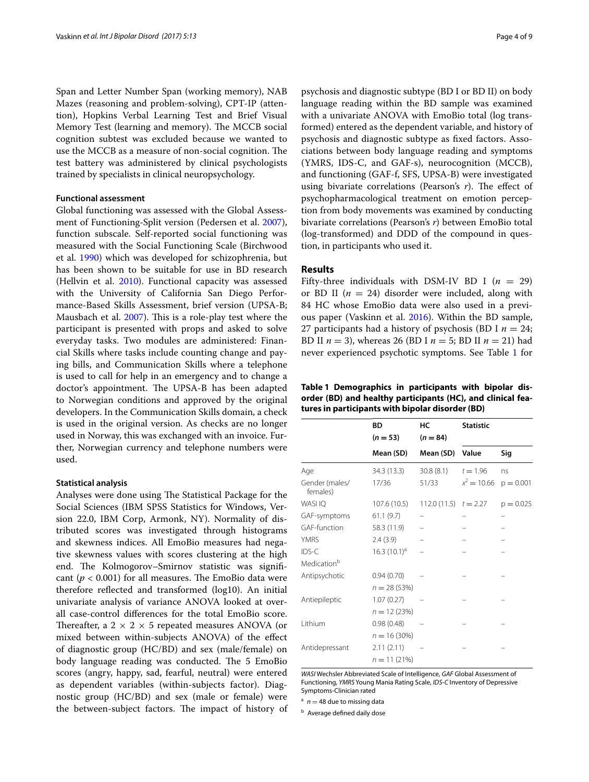Span and Letter Number Span (working memory), NAB Mazes (reasoning and problem-solving), CPT-IP (attention), Hopkins Verbal Learning Test and Brief Visual Memory Test (learning and memory). The MCCB social cognition subtest was excluded because we wanted to use the MCCB as a measure of non-social cognition. The test battery was administered by clinical psychologists trained by specialists in clinical neuropsychology.

# **Functional assessment**

Global functioning was assessed with the Global Assessment of Functioning-Split version (Pedersen et al. [2007](#page-8-15)), function subscale. Self-reported social functioning was measured with the Social Functioning Scale (Birchwood et al. [1990](#page-7-23)) which was developed for schizophrenia, but has been shown to be suitable for use in BD research (Hellvin et al. [2010\)](#page-7-24). Functional capacity was assessed with the University of California San Diego Performance-Based Skills Assessment, brief version (UPSA-B; Mausbach et al. [2007](#page-8-22)). This is a role-play test where the participant is presented with props and asked to solve everyday tasks. Two modules are administered: Financial Skills where tasks include counting change and paying bills, and Communication Skills where a telephone is used to call for help in an emergency and to change a doctor's appointment. The UPSA-B has been adapted to Norwegian conditions and approved by the original developers. In the Communication Skills domain, a check is used in the original version. As checks are no longer used in Norway, this was exchanged with an invoice. Further, Norwegian currency and telephone numbers were used.

## **Statistical analysis**

Analyses were done using The Statistical Package for the Social Sciences (IBM SPSS Statistics for Windows, Version 22.0, IBM Corp, Armonk, NY). Normality of distributed scores was investigated through histograms and skewness indices. All EmoBio measures had negative skewness values with scores clustering at the high end. The Kolmogorov-Smirnov statistic was significant ( $p < 0.001$ ) for all measures. The EmoBio data were therefore refected and transformed (log10). An initial univariate analysis of variance ANOVA looked at overall case-control diferences for the total EmoBio score. Thereafter, a  $2 \times 2 \times 5$  repeated measures ANOVA (or mixed between within-subjects ANOVA) of the efect of diagnostic group (HC/BD) and sex (male/female) on body language reading was conducted. The 5 EmoBio scores (angry, happy, sad, fearful, neutral) were entered as dependent variables (within-subjects factor). Diagnostic group (HC/BD) and sex (male or female) were the between-subject factors. The impact of history of

psychosis and diagnostic subtype (BD I or BD II) on body language reading within the BD sample was examined with a univariate ANOVA with EmoBio total (log transformed) entered as the dependent variable, and history of psychosis and diagnostic subtype as fxed factors. Associations between body language reading and symptoms (YMRS, IDS-C, and GAF-s), neurocognition (MCCB), and functioning (GAF-f, SFS, UPSA-B) were investigated using bivariate correlations (Pearson's *r*). The effect of psychopharmacological treatment on emotion perception from body movements was examined by conducting bivariate correlations (Pearson's *r*) between EmoBio total (log-transformed) and DDD of the compound in question, in participants who used it.

## **Results**

Fifty-three individuals with DSM-IV BD I  $(n = 29)$ or BD II  $(n = 24)$  disorder were included, along with 84 HC whose EmoBio data were also used in a previous paper (Vaskinn et al. [2016](#page-8-8)). Within the BD sample, 27 participants had a history of psychosis (BD I  $n = 24$ ; BD II  $n = 3$ ), whereas 26 (BD I  $n = 5$ ; BD II  $n = 21$ ) had never experienced psychotic symptoms. See Table [1](#page-3-0) for

<span id="page-3-0"></span>**Table 1 Demographics in participants with bipolar disorder (BD) and healthy participants (HC), and clinical features in participants with bipolar disorder (BD)**

|                            | <b>BD</b>       | НC                        | <b>Statistic</b>        |             |  |
|----------------------------|-----------------|---------------------------|-------------------------|-------------|--|
|                            | $(n = 53)$      | $(n = 84)$                |                         |             |  |
|                            | Mean (SD)       | Mean (SD)                 | Value                   | Sig         |  |
| Age                        | 34.3 (13.3)     | 30.8(8.1)                 | $t = 1.96$              | ns          |  |
| Gender (males/<br>females) | 17/36           | 51/33                     | $x^2 = 10.66$ p = 0.001 |             |  |
| WASI IQ                    | 107.6 (10.5)    | 112.0 $(11.5)$ $t = 2.27$ |                         | $p = 0.025$ |  |
| GAF-symptoms               | 61.1(9.7)       |                           |                         |             |  |
| GAF-function               | 58.3 (11.9)     |                           |                         |             |  |
| <b>YMRS</b>                | 2.4(3.9)        |                           |                         |             |  |
| IDS-C                      | 16.3 $(10.1)^a$ |                           |                         |             |  |
| Medication <sup>b</sup>    |                 |                           |                         |             |  |
| Antipsychotic              | 0.94(0.70)      |                           |                         |             |  |
|                            | $n = 28(53%)$   |                           |                         |             |  |
| Antiepileptic              | 1.07(0.27)      |                           |                         |             |  |
|                            | $n = 12(23%)$   |                           |                         |             |  |
| Lithium                    | 0.98(0.48)      |                           |                         |             |  |
|                            | $n = 16(30\%)$  |                           |                         |             |  |
| Antidepressant             | 2.11(2.11)      |                           |                         |             |  |
|                            | $n = 11(21%)$   |                           |                         |             |  |
|                            |                 |                           |                         |             |  |

*WASI* Wechsler Abbreviated Scale of Intelligence, *GAF* Global Assessment of Functioning, *YMRS* Young Mania Rating Scale, *IDS*-*C* Inventory of Depressive Symptoms-Clinician rated

 $n = 48$  due to missing data

**b** Average defined daily dose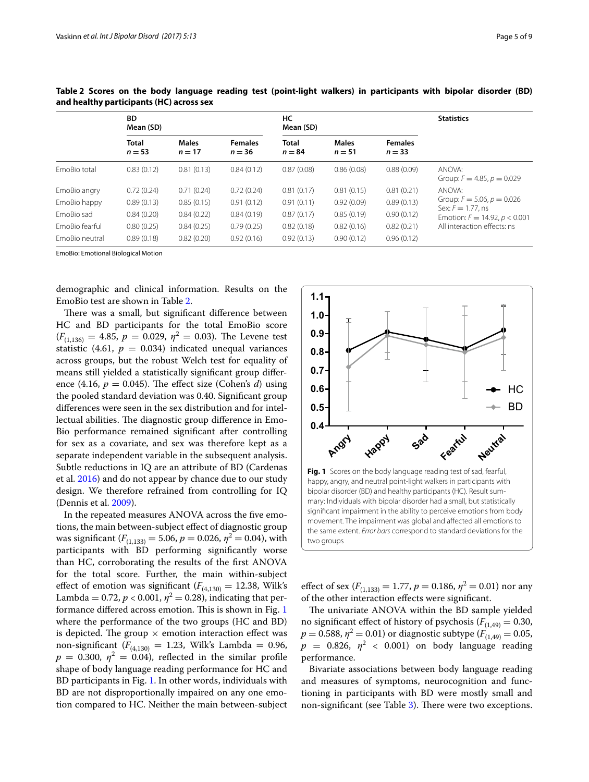|                | BD<br>Mean (SD)          |                          |                            | HC<br>Mean (SD)          |                          |                            | <b>Statistics</b>                                                                                                                      |  |
|----------------|--------------------------|--------------------------|----------------------------|--------------------------|--------------------------|----------------------------|----------------------------------------------------------------------------------------------------------------------------------------|--|
|                | <b>Total</b><br>$n = 53$ | <b>Males</b><br>$n = 17$ | <b>Females</b><br>$n = 36$ | <b>Total</b><br>$n = 84$ | <b>Males</b><br>$n = 51$ | <b>Females</b><br>$n = 33$ |                                                                                                                                        |  |
| EmoBio total   | 0.83(0.12)               | 0.81(0.13)               | 0.84(0.12)                 | 0.87(0.08)               | 0.86(0.08)               | 0.88(0.09)                 | ANOVA:<br>Group: $F = 4.85$ , $p = 0.029$                                                                                              |  |
| EmoBio angry   | 0.72(0.24)               | 0.71(0.24)               | 0.72(0.24)                 | 0.81(0.17)               | 0.81(0.15)               | 0.81(0.21)                 | ANOVA:<br>Group: $F = 5.06$ , $p = 0.026$<br>Sex: $F = 1.77$ , ns<br>Emotion: $F = 14.92$ , $p < 0.001$<br>All interaction effects: ns |  |
| EmoBio happy   | 0.89(0.13)               | 0.85(0.15)               | 0.91(0.12)                 | 0.91(0.11)               | 0.92(0.09)               | 0.89(0.13)                 |                                                                                                                                        |  |
| EmoBio sad     | 0.84(0.20)               | 0.84(0.22)               | 0.84(0.19)                 | 0.87(0.17)               | 0.85(0.19)               | 0.90(0.12)                 |                                                                                                                                        |  |
| EmoBio fearful | 0.80(0.25)               | 0.84(0.25)               | 0.79(0.25)                 | 0.82(0.18)               | 0.82(0.16)               | 0.82(0.21)                 |                                                                                                                                        |  |
| EmoBio neutral | 0.89(0.18)               | 0.82(0.20)               | 0.92(0.16)                 | 0.92(0.13)               | 0.90(0.12)               | 0.96(0.12)                 |                                                                                                                                        |  |

<span id="page-4-0"></span>**Table 2 Scores on the body language reading test (point-light walkers) in participants with bipolar disorder (BD) and healthy participants (HC) across sex**

EmoBio: Emotional Biological Motion

demographic and clinical information. Results on the EmoBio test are shown in Table [2](#page-4-0).

There was a small, but significant difference between HC and BD participants for the total EmoBio score  $(F_{(1,136)} = 4.85, p = 0.029, \eta^2 = 0.03)$ . The Levene test statistic (4.61,  $p = 0.034$ ) indicated unequal variances across groups, but the robust Welch test for equality of means still yielded a statistically signifcant group diference (4.16,  $p = 0.045$ ). The effect size (Cohen's *d*) using the pooled standard deviation was 0.40. Signifcant group diferences were seen in the sex distribution and for intellectual abilities. The diagnostic group difference in Emo-Bio performance remained signifcant after controlling for sex as a covariate, and sex was therefore kept as a separate independent variable in the subsequent analysis. Subtle reductions in IQ are an attribute of BD (Cardenas et al. [2016](#page-7-1)) and do not appear by chance due to our study design. We therefore refrained from controlling for IQ (Dennis et al. [2009\)](#page-7-25).

In the repeated measures ANOVA across the fve emotions, the main between-subject efect of diagnostic group was significant  $(F_{(1,133)} = 5.06, p = 0.026, \eta^2 = 0.04)$ , with participants with BD performing signifcantly worse than HC, corroborating the results of the frst ANOVA for the total score. Further, the main within-subject effect of emotion was significant  $(F_{(4,130)} = 12.38$ , Wilk's Lambda = 0.72,  $p < 0.001$ ,  $\eta^2 = 0.28$ ), indicating that per-formance differed across emotion. This is shown in Fig. [1](#page-4-1) where the performance of the two groups (HC and BD) is depicted. The group  $\times$  emotion interaction effect was non-significant ( $F_{(4,130)} = 1.23$ , Wilk's Lambda = 0.96,  $p = 0.300$ ,  $\eta^2 = 0.04$ ), reflected in the similar profile shape of body language reading performance for HC and BD participants in Fig. [1.](#page-4-1) In other words, individuals with BD are not disproportionally impaired on any one emotion compared to HC. Neither the main between-subject



<span id="page-4-1"></span>effect of sex  $(F_{(1,133)} = 1.77, p = 0.186, \eta^2 = 0.01)$  nor any of the other interaction efects were signifcant.

The univariate ANOVA within the BD sample yielded no significant effect of history of psychosis ( $F_{(1,49)} = 0.30$ ,  $p = 0.588$ ,  $\eta^2 = 0.01$ ) or diagnostic subtype ( $F_{(1,49)} = 0.05$ ,  $p = 0.826, \eta^2 < 0.001$  on body language reading performance.

Bivariate associations between body language reading and measures of symptoms, neurocognition and functioning in participants with BD were mostly small and non-significant (see Table [3](#page-5-0)). There were two exceptions.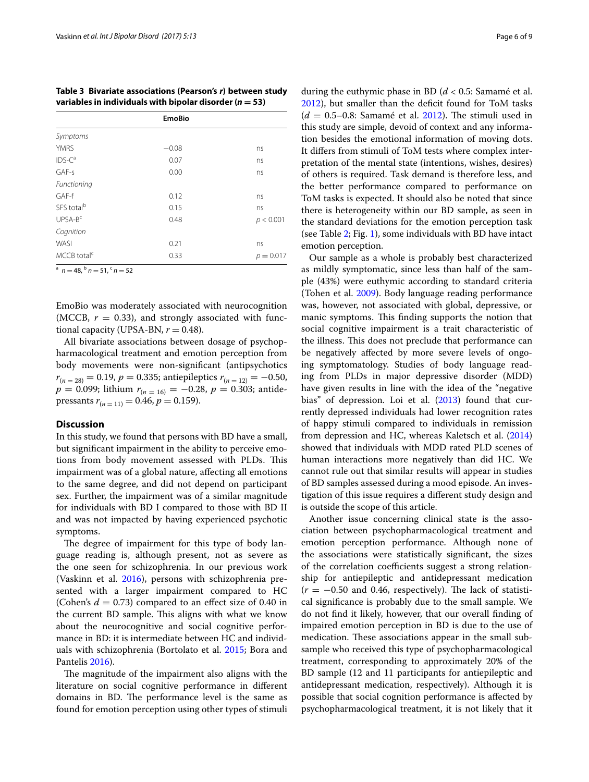<span id="page-5-0"></span>**Table 3 Bivariate associations (Pearson's** *r***) between study variables in individuals with bipolar disorder (***n* **= 53)**

| $-0.08$<br>0.07<br>0.00 | ns<br>ns<br>ns |
|-------------------------|----------------|
|                         |                |
|                         |                |
|                         |                |
|                         |                |
|                         |                |
| 0.12                    | ns             |
| 0.15                    | ns             |
| 0.48                    | p < 0.001      |
|                         |                |
| 0.21                    | ns             |
| 0.33                    | $p = 0.017$    |
|                         |                |

 $n = 48$ ,  $n = 51$ ,  $n = 52$ 

EmoBio was moderately associated with neurocognition (MCCB,  $r = 0.33$ ), and strongly associated with functional capacity (UPSA-BN,  $r = 0.48$ ).

All bivariate associations between dosage of psychopharmacological treatment and emotion perception from body movements were non-signifcant (antipsychotics  $r_{(n=28)} = 0.19$ ,  $p = 0.335$ ; antiepileptics  $r_{(n=12)} = -0.50$ ,  $p = 0.099$ ; lithium  $r_{(n-16)} = -0.28$ ,  $p = 0.303$ ; antidepressants  $r_{(n=11)} = 0.46$ ,  $p = 0.159$ .

# **Discussion**

In this study, we found that persons with BD have a small, but signifcant impairment in the ability to perceive emotions from body movement assessed with PLDs. This impairment was of a global nature, afecting all emotions to the same degree, and did not depend on participant sex. Further, the impairment was of a similar magnitude for individuals with BD I compared to those with BD II and was not impacted by having experienced psychotic symptoms.

The degree of impairment for this type of body language reading is, although present, not as severe as the one seen for schizophrenia. In our previous work (Vaskinn et al. [2016](#page-8-8)), persons with schizophrenia presented with a larger impairment compared to HC (Cohen's  $d = 0.73$ ) compared to an effect size of 0.40 in the current BD sample. This aligns with what we know about the neurocognitive and social cognitive performance in BD: it is intermediate between HC and individuals with schizophrenia (Bortolato et al. [2015](#page-7-3); Bora and Pantelis [2016\)](#page-7-7).

The magnitude of the impairment also aligns with the literature on social cognitive performance in diferent domains in BD. The performance level is the same as found for emotion perception using other types of stimuli during the euthymic phase in BD (*d* < 0.5: Samamé et al. [2012](#page-8-2)), but smaller than the deficit found for ToM tasks  $(d = 0.5-0.8:$  Samamé et al. [2012](#page-8-2)). The stimuli used in this study are simple, devoid of context and any information besides the emotional information of moving dots. It difers from stimuli of ToM tests where complex interpretation of the mental state (intentions, wishes, desires) of others is required. Task demand is therefore less, and the better performance compared to performance on ToM tasks is expected. It should also be noted that since there is heterogeneity within our BD sample, as seen in the standard deviations for the emotion perception task (see Table  $2$ ; Fig. [1](#page-4-1)), some individuals with BD have intact emotion perception.

Our sample as a whole is probably best characterized as mildly symptomatic, since less than half of the sample (43%) were euthymic according to standard criteria (Tohen et al. [2009](#page-8-18)). Body language reading performance was, however, not associated with global, depressive, or manic symptoms. This finding supports the notion that social cognitive impairment is a trait characteristic of the illness. This does not preclude that performance can be negatively afected by more severe levels of ongoing symptomatology. Studies of body language reading from PLDs in major depressive disorder (MDD) have given results in line with the idea of the "negative bias" of depression. Loi et al. [\(2013\)](#page-7-26) found that currently depressed individuals had lower recognition rates of happy stimuli compared to individuals in remission from depression and HC, whereas Kaletsch et al. ([2014](#page-7-27)) showed that individuals with MDD rated PLD scenes of human interactions more negatively than did HC. We cannot rule out that similar results will appear in studies of BD samples assessed during a mood episode. An investigation of this issue requires a diferent study design and is outside the scope of this article.

Another issue concerning clinical state is the association between psychopharmacological treatment and emotion perception performance. Although none of the associations were statistically signifcant, the sizes of the correlation coefficients suggest a strong relationship for antiepileptic and antidepressant medication  $(r = -0.50$  and 0.46, respectively). The lack of statistical signifcance is probably due to the small sample. We do not fnd it likely, however, that our overall fnding of impaired emotion perception in BD is due to the use of medication. These associations appear in the small subsample who received this type of psychopharmacological treatment, corresponding to approximately 20% of the BD sample (12 and 11 participants for antiepileptic and antidepressant medication, respectively). Although it is possible that social cognition performance is afected by psychopharmacological treatment, it is not likely that it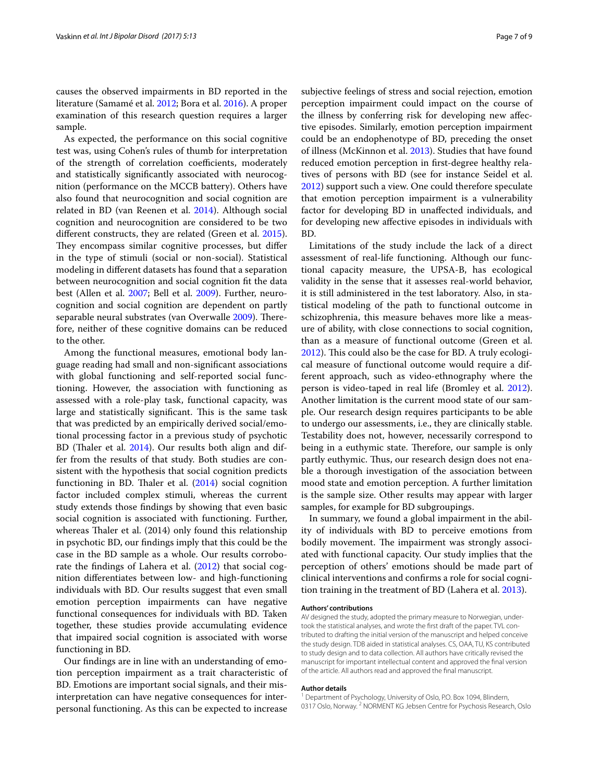causes the observed impairments in BD reported in the literature (Samamé et al. [2012](#page-8-2); Bora et al. [2016\)](#page-7-6). A proper examination of this research question requires a larger sample.

As expected, the performance on this social cognitive test was, using Cohen's rules of thumb for interpretation of the strength of correlation coefficients, moderately and statistically signifcantly associated with neurocognition (performance on the MCCB battery). Others have also found that neurocognition and social cognition are related in BD (van Reenen et al. [2014\)](#page-8-23). Although social cognition and neurocognition are considered to be two diferent constructs, they are related (Green et al. [2015](#page-7-28)). They encompass similar cognitive processes, but differ in the type of stimuli (social or non-social). Statistical modeling in diferent datasets has found that a separation between neurocognition and social cognition ft the data best (Allen et al. [2007](#page-7-29); Bell et al. [2009\)](#page-7-30). Further, neurocognition and social cognition are dependent on partly separable neural substrates (van Overwalle [2009](#page-8-24)). Therefore, neither of these cognitive domains can be reduced to the other.

Among the functional measures, emotional body language reading had small and non-signifcant associations with global functioning and self-reported social functioning. However, the association with functioning as assessed with a role-play task, functional capacity, was large and statistically significant. This is the same task that was predicted by an empirically derived social/emotional processing factor in a previous study of psychotic BD (Thaler et al. [2014\)](#page-8-12). Our results both align and differ from the results of that study. Both studies are consistent with the hypothesis that social cognition predicts functioning in BD. Thaler et al.  $(2014)$  $(2014)$  $(2014)$  social cognition factor included complex stimuli, whereas the current study extends those fndings by showing that even basic social cognition is associated with functioning. Further, whereas Thaler et al. (2014) only found this relationship in psychotic BD, our fndings imply that this could be the case in the BD sample as a whole. Our results corrobo-rate the findings of Lahera et al. ([2012](#page-7-21)) that social cognition diferentiates between low- and high-functioning individuals with BD. Our results suggest that even small emotion perception impairments can have negative functional consequences for individuals with BD. Taken together, these studies provide accumulating evidence that impaired social cognition is associated with worse functioning in BD.

Our fndings are in line with an understanding of emotion perception impairment as a trait characteristic of BD. Emotions are important social signals, and their misinterpretation can have negative consequences for interpersonal functioning. As this can be expected to increase

subjective feelings of stress and social rejection, emotion perception impairment could impact on the course of the illness by conferring risk for developing new afective episodes. Similarly, emotion perception impairment could be an endophenotype of BD, preceding the onset of illness (McKinnon et al. [2013\)](#page-8-25). Studies that have found reduced emotion perception in frst-degree healthy relatives of persons with BD (see for instance Seidel et al. [2012](#page-8-26)) support such a view. One could therefore speculate that emotion perception impairment is a vulnerability factor for developing BD in unafected individuals, and for developing new afective episodes in individuals with BD.

Limitations of the study include the lack of a direct assessment of real-life functioning. Although our functional capacity measure, the UPSA-B, has ecological validity in the sense that it assesses real-world behavior, it is still administered in the test laboratory. Also, in statistical modeling of the path to functional outcome in schizophrenia, this measure behaves more like a measure of ability, with close connections to social cognition, than as a measure of functional outcome (Green et al. [2012](#page-7-31)). This could also be the case for BD. A truly ecological measure of functional outcome would require a different approach, such as video-ethnography where the person is video-taped in real life (Bromley et al. [2012](#page-7-32)). Another limitation is the current mood state of our sample. Our research design requires participants to be able to undergo our assessments, i.e., they are clinically stable. Testability does not, however, necessarily correspond to being in a euthymic state. Therefore, our sample is only partly euthymic. Thus, our research design does not enable a thorough investigation of the association between mood state and emotion perception. A further limitation is the sample size. Other results may appear with larger samples, for example for BD subgroupings.

In summary, we found a global impairment in the ability of individuals with BD to perceive emotions from bodily movement. The impairment was strongly associated with functional capacity. Our study implies that the perception of others' emotions should be made part of clinical interventions and confrms a role for social cognition training in the treatment of BD (Lahera et al. [2013](#page-7-33)).

#### **Authors' contributions**

AV designed the study, adopted the primary measure to Norwegian, undertook the statistical analyses, and wrote the frst draft of the paper. TVL contributed to drafting the initial version of the manuscript and helped conceive the study design. TDB aided in statistical analyses. CS, OAA, TU, KS contributed to study design and to data collection. All authors have critically revised the manuscript for important intellectual content and approved the fnal version of the article. All authors read and approved the fnal manuscript.

#### **Author details**

<sup>1</sup> Department of Psychology, University of Oslo, P.O. Box 1094, Blindern, 0317 Oslo, Norway. <sup>2</sup> NORMENT KG Jebsen Centre for Psychosis Research, Oslo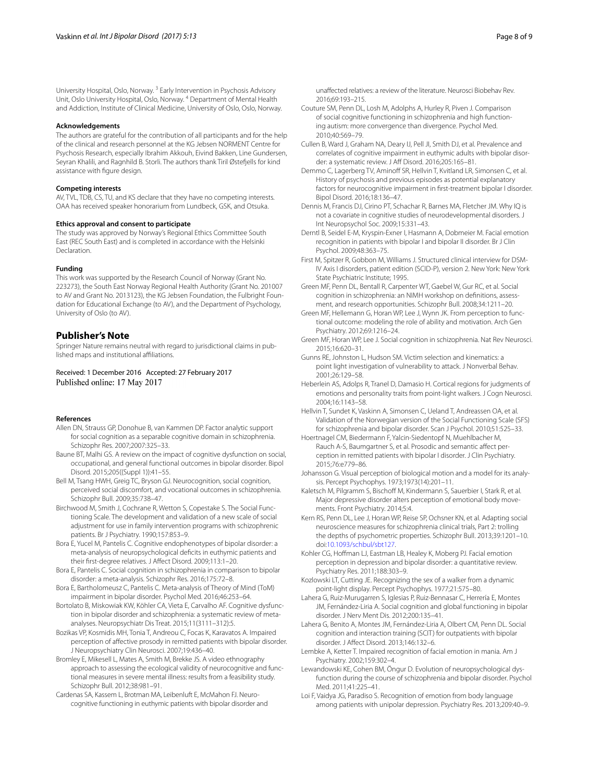University Hospital, Oslo, Norway. 3 Early Intervention in Psychosis Advisory Unit, Oslo University Hospital, Oslo, Norway. 4 Department of Mental Health and Addiction, Institute of Clinical Medicine, University of Oslo, Oslo, Norway.

#### **Acknowledgements**

The authors are grateful for the contribution of all participants and for the help of the clinical and research personnel at the KG Jebsen NORMENT Centre for Psychosis Research, especially Ibrahim Akkouh, Eivind Bakken, Line Gundersen, Seyran Khalili, and Ragnhild B. Storli. The authors thank Tiril Østefells for kind assistance with fgure design.

#### **Competing interests**

AV, TVL, TDB, CS, TU, and KS declare that they have no competing interests. OAA has received speaker honorarium from Lundbeck, GSK, and Otsuka.

#### **Ethics approval and consent to participate**

The study was approved by Norway's Regional Ethics Committee South East (REC South East) and is completed in accordance with the Helsinki Declaration.

#### **Funding**

This work was supported by the Research Council of Norway (Grant No. 223273), the South East Norway Regional Health Authority (Grant No. 201007 to AV and Grant No. 2013123), the KG Jebsen Foundation, the Fulbright Foundation for Educational Exchange (to AV), and the Department of Psychology, University of Oslo (to AV).

### **Publisher's Note**

Springer Nature remains neutral with regard to jurisdictional claims in published maps and institutional afliations.

Received: 1 December 2016 Accepted: 27 February 2017 Published online: 17 May 2017

#### **References**

- <span id="page-7-29"></span>Allen DN, Strauss GP, Donohue B, van Kammen DP. Factor analytic support for social cognition as a separable cognitive domain in schizophrenia. Schizophr Res. 2007;2007:325–33.
- <span id="page-7-2"></span>Baune BT, Malhi GS. A review on the impact of cognitive dysfunction on social, occupational, and general functional outcomes in bipolar disorder. Bipol Disord. 2015;205((Suppl 1)):41–55.
- <span id="page-7-30"></span>Bell M, Tsang HWH, Greig TC, Bryson GJ. Neurocognition, social cognition, perceived social discomfort, and vocational outcomes in schizophrenia. Schizophr Bull. 2009;35:738–47.
- <span id="page-7-23"></span>Birchwood M, Smith J, Cochrane R, Wetton S, Copestake S. The Social Functioning Scale. The development and validation of a new scale of social adjustment for use in family intervention programs with schizophrenic patients. Br J Psychiatry. 1990;157:853–9.
- <span id="page-7-0"></span>Bora E, Yucel M, Pantelis C. Cognitive endophenotypes of bipolar disorder: a meta-analysis of neuropsychological defcits in euthymic patients and their frst-degree relatives. J Afect Disord. 2009;113:1–20.
- <span id="page-7-7"></span>Bora E, Pantelis C. Social cognition in schizophrenia in comparison to bipolar disorder: a meta-analysis. Schizophr Res. 2016;175:72–8.
- <span id="page-7-6"></span>Bora E, Bartholomeusz C, Pantelis C. Meta-analysis of Theory of Mind (ToM) impairment in bipolar disorder. Psychol Med. 2016;46:253–64.
- <span id="page-7-3"></span>Bortolato B, Miskowiak KW, Köhler CA, Vieta E, Carvalho AF. Cognitive dysfunction in bipolar disorder and schizophrenia: a systematic review of metaanalyses. Neuropsychiatr Dis Treat. 2015;11(3111–312):5.
- <span id="page-7-14"></span>Bozikas VP, Kosmidis MH, Tonia T, Andreou C, Focas K, Karavatos A. Impaired perception of afective prosody in remitted patients with bipolar disorder. J Neuropsychiatry Clin Neurosci. 2007;19:436–40.
- <span id="page-7-32"></span>Bromley E, Mikesell L, Mates A, Smith M, Brekke JS. A video ethnography approach to assessing the ecological validity of neurocognitive and functional measures in severe mental illness: results from a feasibility study. Schizophr Bull. 2012;38:981–91.
- <span id="page-7-1"></span>Cardenas SA, Kassem L, Brotman MA, Leibenluft E, McMahon FJ. Neurocognitive functioning in euthymic patients with bipolar disorder and

unafected relatives: a review of the literature. Neurosci Biobehav Rev. 2016;69:193–215.

- <span id="page-7-19"></span>Couture SM, Penn DL, Losh M, Adolphs A, Hurley R, Piven J. Comparison of social cognitive functioning in schizophrenia and high functioning autism: more convergence than divergence. Psychol Med. 2010;40:569–79.
- <span id="page-7-4"></span>Cullen B, Ward J, Graham NA, Deary IJ, Pell JI, Smith DJ, et al. Prevalence and correlates of cognitive impairment in euthymic adults with bipolar disorder: a systematic review. J Aff Disord. 2016;205:165-81.
- <span id="page-7-9"></span>Demmo C, Lagerberg TV, Aminoff SR, Hellvin T, Kvitland LR, Simonsen C, et al. History of psychosis and previous episodes as potential explanatory factors for neurocognitive impairment in frst-treatment bipolar I disorder. Bipol Disord. 2016;18:136–47.
- <span id="page-7-25"></span>Dennis M, Francis DJ, Cirino PT, Schachar R, Barnes MA, Fletcher JM. Why IQ is not a covariate in cognitive studies of neurodevelopmental disorders. J Int Neuropsychol Soc. 2009;15:331–43.
- <span id="page-7-11"></span>Derntl B, Seidel E-M, Kryspin-Exner I, Hasmann A, Dobmeier M. Facial emotion recognition in patients with bipolar I and bipolar II disorder. Br J Clin Psychol. 2009;48:363–75.
- <span id="page-7-22"></span>First M, Spitzer R, Gobbon M, Williams J. Structured clinical interview for DSM-IV Axis I disorders, patient edition (SCID-P), version 2. New York: New York State Psychiatric Institute; 1995.
- <span id="page-7-5"></span>Green MF, Penn DL, Bentall R, Carpenter WT, Gaebel W, Gur RC, et al. Social cognition in schizophrenia: an NIMH workshop on defnitions, assessment, and research opportunities. Schizophr Bull. 2008;34:1211–20.
- <span id="page-7-31"></span>Green MF, Hellemann G, Horan WP, Lee J, Wynn JK. From perception to functional outcome: modeling the role of ability and motivation. Arch Gen Psychiatry. 2012;69:1216–24.
- <span id="page-7-28"></span>Green MF, Horan WP, Lee J. Social cognition in schizophrenia. Nat Rev Neurosci. 2015;16:620–31.
- <span id="page-7-17"></span>Gunns RE, Johnston L, Hudson SM. Victim selection and kinematics: a point light investigation of vulnerability to attack. J Nonverbal Behav. 2001;26:129–58.
- <span id="page-7-18"></span>Heberlein AS, Adolps R, Tranel D, Damasio H. Cortical regions for judgments of emotions and personality traits from point-light walkers. J Cogn Neurosci. 2004;16:1143–58.
- <span id="page-7-24"></span>Hellvin T, Sundet K, Vaskinn A, Simonsen C, Ueland T, Andreassen OA, et al. Validation of the Norwegian version of the Social Functioning Scale (SFS) for schizophrenia and bipolar disorder. Scan J Psychol. 2010;51:525–33.
- <span id="page-7-13"></span>Hoertnagel CM, Biedermann F, Yalcin-Siedentopf N, Muehlbacher M, Rauch A-S, Baumgartner S, et al. Prosodic and semantic afect perception in remitted patients with bipolar I disorder. J Clin Psychiatry. 2015;76:e779–86.
- <span id="page-7-15"></span>Johansson G. Visual perception of biological motion and a model for its analysis. Percept Psychophys. 1973;1973(14):201–11.
- <span id="page-7-27"></span>Kaletsch M, Pilgramm S, Bischoff M, Kindermann S, Sauerbier I, Stark R, et al. Major depressive disorder alters perception of emotional body movements. Front Psychiatry. 2014;5:4.
- <span id="page-7-20"></span>Kern RS, Penn DL, Lee J, Horan WP, Reise SP, Ochsner KN, et al. Adapting social neuroscience measures for schizophrenia clinical trials, Part 2: trolling the depths of psychometric properties. Schizophr Bull. 2013;39:1201–10. doi:[10.1093/schbul/sbt127](http://dx.doi.org/10.1093/schbul/sbt127).
- <span id="page-7-12"></span>Kohler CG, Hofman LJ, Eastman LB, Healey K, Moberg PJ. Facial emotion perception in depression and bipolar disorder: a quantitative review. Psychiatry Res. 2011;188:303–9.
- <span id="page-7-16"></span>Kozlowski LT, Cutting JE. Recognizing the sex of a walker from a dynamic point-light display. Percept Psychophys. 1977;21:575–80.
- <span id="page-7-21"></span>Lahera G, Ruiz-Murugarren S, Iglesias P, Ruiz-Bennasar C, Herrería E, Montes JM, Fernández-Liria A. Social cognition and global functioning in bipolar disorder. J Nerv Ment Dis. 2012;200:135–41.
- <span id="page-7-33"></span>Lahera G, Benito A, Montes JM, Fernández-Liria A, Olbert CM, Penn DL. Social cognition and interaction training (SCIT) for outpatients with bipolar disorder. J Afect Disord. 2013;146:132–6.
- <span id="page-7-10"></span>Lembke A, Ketter T. Impaired recognition of facial emotion in mania. Am J Psychiatry. 2002;159:302–4.
- <span id="page-7-8"></span>Lewandowski KE, Cohen BM, Öngur D. Evolution of neuropsychological dysfunction during the course of schizophrenia and bipolar disorder. Psychol Med. 2011;41:225–41.
- <span id="page-7-26"></span>Loi F, Vaidya JG, Paradiso S. Recognition of emotion from body language among patients with unipolar depression. Psychiatry Res. 2013;209:40–9.